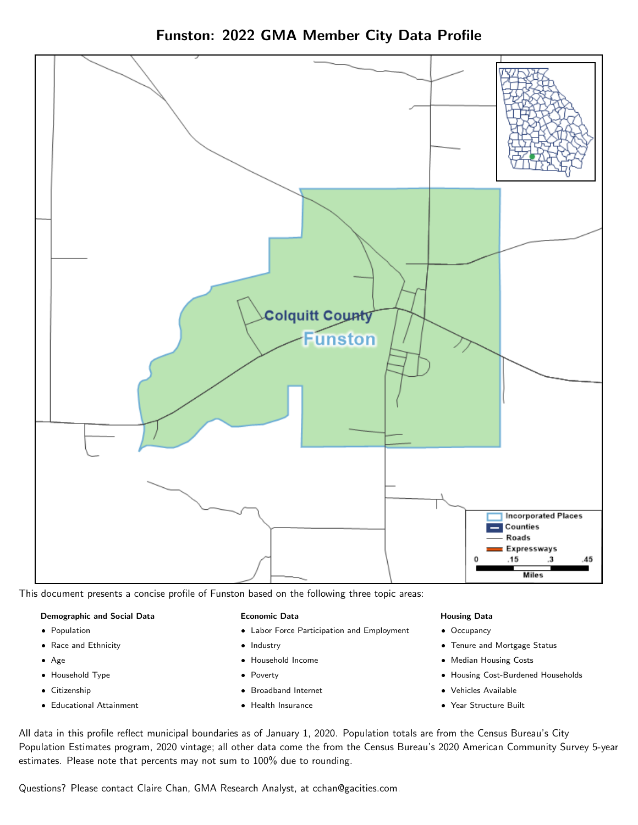Funston: 2022 GMA Member City Data Profile



This document presents a concise profile of Funston based on the following three topic areas:

#### Demographic and Social Data

- **•** Population
- Race and Ethnicity
- Age
- Household Type
- **Citizenship**
- Educational Attainment

#### Economic Data

- Labor Force Participation and Employment
- Industry
- Household Income
- Poverty
- Broadband Internet
- Health Insurance

#### Housing Data

- Occupancy
- Tenure and Mortgage Status
- Median Housing Costs
- Housing Cost-Burdened Households
- Vehicles Available
- Year Structure Built

All data in this profile reflect municipal boundaries as of January 1, 2020. Population totals are from the Census Bureau's City Population Estimates program, 2020 vintage; all other data come the from the Census Bureau's 2020 American Community Survey 5-year estimates. Please note that percents may not sum to 100% due to rounding.

Questions? Please contact Claire Chan, GMA Research Analyst, at [cchan@gacities.com.](mailto:cchan@gacities.com)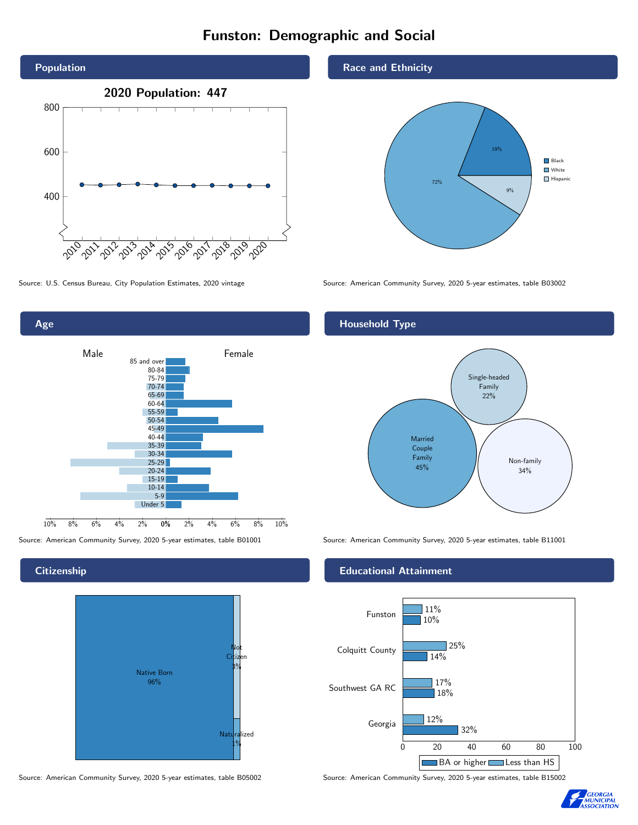# Funston: Demographic and Social



Source: U.S. Census Bureau, City Population Estimates, 2020 vintage Source: American Community Survey, 2020 5-year estimates, table B03002



**Citizenship** 



Race and Ethnicity



### Household Type



Source: American Community Survey, 2020 5-year estimates, table B01001 Source: American Community Survey, 2020 5-year estimates, table B11001

#### Educational Attainment



Source: American Community Survey, 2020 5-year estimates, table B05002 Source: American Community Survey, 2020 5-year estimates, table B15002

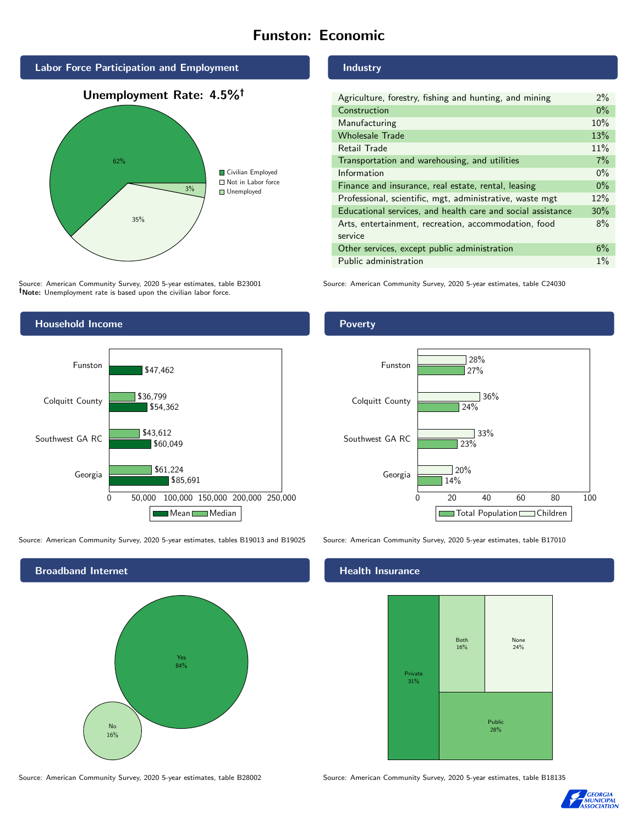# Funston: Economic



Source: American Community Survey, 2020 5-year estimates, table B23001 Note: Unemployment rate is based upon the civilian labor force.



Source: American Community Survey, 2020 5-year estimates, tables B19013 and B19025 Source: American Community Survey, 2020 5-year estimates, table B17010

Mean Median



Industry

| Agriculture, forestry, fishing and hunting, and mining      | $2\%$ |
|-------------------------------------------------------------|-------|
| Construction                                                | $0\%$ |
| Manufacturing                                               | 10%   |
| <b>Wholesale Trade</b>                                      | 13%   |
| Retail Trade                                                | 11%   |
| Transportation and warehousing, and utilities               | 7%    |
| Information                                                 | $0\%$ |
| Finance and insurance, real estate, rental, leasing         | $0\%$ |
| Professional, scientific, mgt, administrative, waste mgt    | 12%   |
| Educational services, and health care and social assistance | 30%   |
| Arts, entertainment, recreation, accommodation, food        | 8%    |
| service                                                     |       |
| Other services, except public administration                | 6%    |
| Public administration                                       | $1\%$ |

Source: American Community Survey, 2020 5-year estimates, table C24030

## Poverty



## **Health Insurance**



Source: American Community Survey, 2020 5-year estimates, table B28002 Source: American Community Survey, 2020 5-year estimates, table B18135